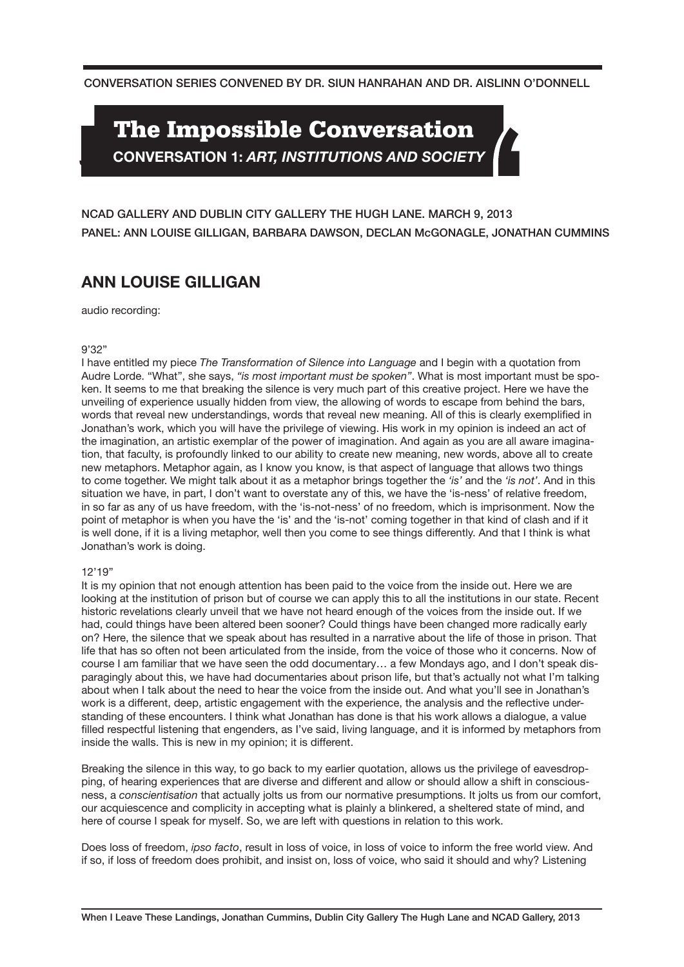CONVERSATION SERIES CONVENED BY DR. SIUN HANRAHAN AND DR. AISLINN O'DONNELL

# **The Impossible Conversation**

**CONVERSATION 1:** *ART, INSTITUTIONS AND SOCIETY* 

PANEL: ANN LOUISE GILLIGAN, BARBARA DAWSON, DECLAN McGONAGLE, JONATHAN CUMMINS NCAD GALLERY AND DUBLIN CITY GALLERY THE HUGH LANE. MARCH 9, 2013

## **ANN LOUISE GILLIGAN**

audio recording:

#### 9'32"

I have entitled my piece *The Transformation of Silence into Language* and I begin with a quotation from Audre Lorde. "What", she says, *"is most important must be spoken"*. What is most important must be spoken. It seems to me that breaking the silence is very much part of this creative project. Here we have the unveiling of experience usually hidden from view, the allowing of words to escape from behind the bars, words that reveal new understandings, words that reveal new meaning. All of this is clearly exemplified in Jonathan's work, which you will have the privilege of viewing. His work in my opinion is indeed an act of the imagination, an artistic exemplar of the power of imagination. And again as you are all aware imagination, that faculty, is profoundly linked to our ability to create new meaning, new words, above all to create new metaphors. Metaphor again, as I know you know, is that aspect of language that allows two things to come together. We might talk about it as a metaphor brings together the *'is'* and the *'is not'*. And in this situation we have, in part, I don't want to overstate any of this, we have the 'is-ness' of relative freedom, in so far as any of us have freedom, with the 'is-not-ness' of no freedom, which is imprisonment. Now the point of metaphor is when you have the 'is' and the 'is-not' coming together in that kind of clash and if it is well done, if it is a living metaphor, well then you come to see things differently. And that I think is what Jonathan's work is doing.

### 12'19"

It is my opinion that not enough attention has been paid to the voice from the inside out. Here we are looking at the institution of prison but of course we can apply this to all the institutions in our state. Recent historic revelations clearly unveil that we have not heard enough of the voices from the inside out. If we had, could things have been altered been sooner? Could things have been changed more radically early on? Here, the silence that we speak about has resulted in a narrative about the life of those in prison. That life that has so often not been articulated from the inside, from the voice of those who it concerns. Now of course I am familiar that we have seen the odd documentary… a few Mondays ago, and I don't speak disparagingly about this, we have had documentaries about prison life, but that's actually not what I'm talking about when I talk about the need to hear the voice from the inside out. And what you'll see in Jonathan's work is a different, deep, artistic engagement with the experience, the analysis and the reflective understanding of these encounters. I think what Jonathan has done is that his work allows a dialogue, a value filled respectful listening that engenders, as I've said, living language, and it is informed by metaphors from inside the walls. This is new in my opinion; it is different.

Breaking the silence in this way, to go back to my earlier quotation, allows us the privilege of eavesdropping, of hearing experiences that are diverse and different and allow or should allow a shift in consciousness, a *conscientisation* that actually jolts us from our normative presumptions. It jolts us from our comfort, our acquiescence and complicity in accepting what is plainly a blinkered, a sheltered state of mind, and here of course I speak for myself. So, we are left with questions in relation to this work.

Does loss of freedom, *ipso facto*, result in loss of voice, in loss of voice to inform the free world view. And if so, if loss of freedom does prohibit, and insist on, loss of voice, who said it should and why? Listening